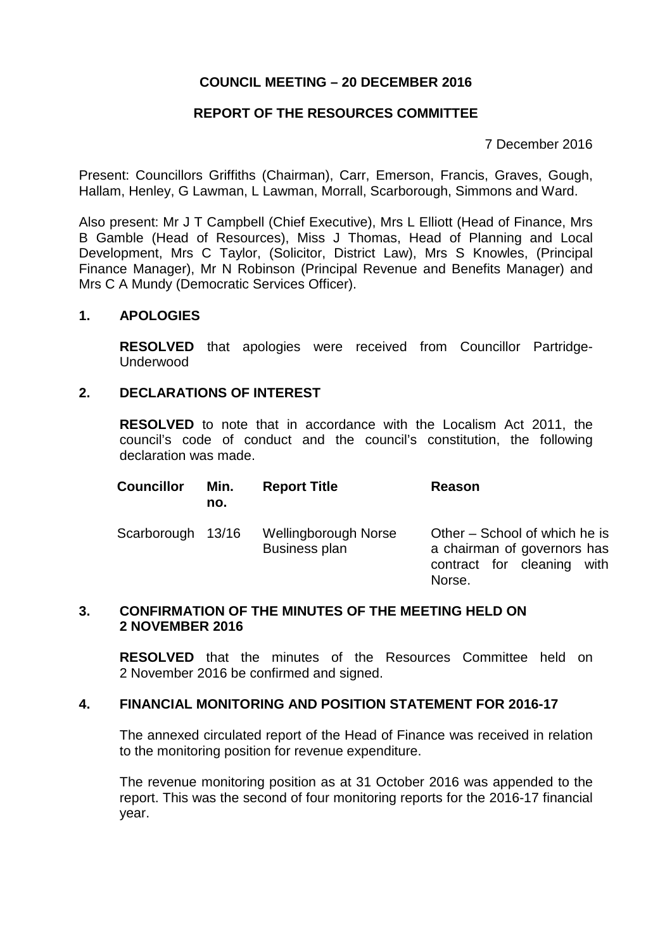# **COUNCIL MEETING – 20 DECEMBER 2016**

## **REPORT OF THE RESOURCES COMMITTEE**

7 December 2016

Present: Councillors Griffiths (Chairman), Carr, Emerson, Francis, Graves, Gough, Hallam, Henley, G Lawman, L Lawman, Morrall, Scarborough, Simmons and Ward.

Also present: Mr J T Campbell (Chief Executive), Mrs L Elliott (Head of Finance, Mrs B Gamble (Head of Resources), Miss J Thomas, Head of Planning and Local Development, Mrs C Taylor, (Solicitor, District Law), Mrs S Knowles, (Principal Finance Manager), Mr N Robinson (Principal Revenue and Benefits Manager) and Mrs C A Mundy (Democratic Services Officer).

#### **1. APOLOGIES**

**RESOLVED** that apologies were received from Councillor Partridge-Underwood

#### **2. DECLARATIONS OF INTEREST**

**RESOLVED** to note that in accordance with the Localism Act 2011, the council's code of conduct and the council's constitution, the following declaration was made.

| <b>Councillor</b> | Min.<br>no. | <b>Report Title</b>                          | Reason                                                                                                  |
|-------------------|-------------|----------------------------------------------|---------------------------------------------------------------------------------------------------------|
| Scarborough 13/16 |             | Wellingborough Norse<br><b>Business plan</b> | Other – School of which he is<br>a chairman of governors has<br>contract for cleaning<br>with<br>Norse. |

#### **3. CONFIRMATION OF THE MINUTES OF THE MEETING HELD ON 2 NOVEMBER 2016**

**RESOLVED** that the minutes of the Resources Committee held on 2 November 2016 be confirmed and signed.

#### **4. FINANCIAL MONITORING AND POSITION STATEMENT FOR 2016-17**

The annexed circulated report of the Head of Finance was received in relation to the monitoring position for revenue expenditure.

The revenue monitoring position as at 31 October 2016 was appended to the report. This was the second of four monitoring reports for the 2016-17 financial year.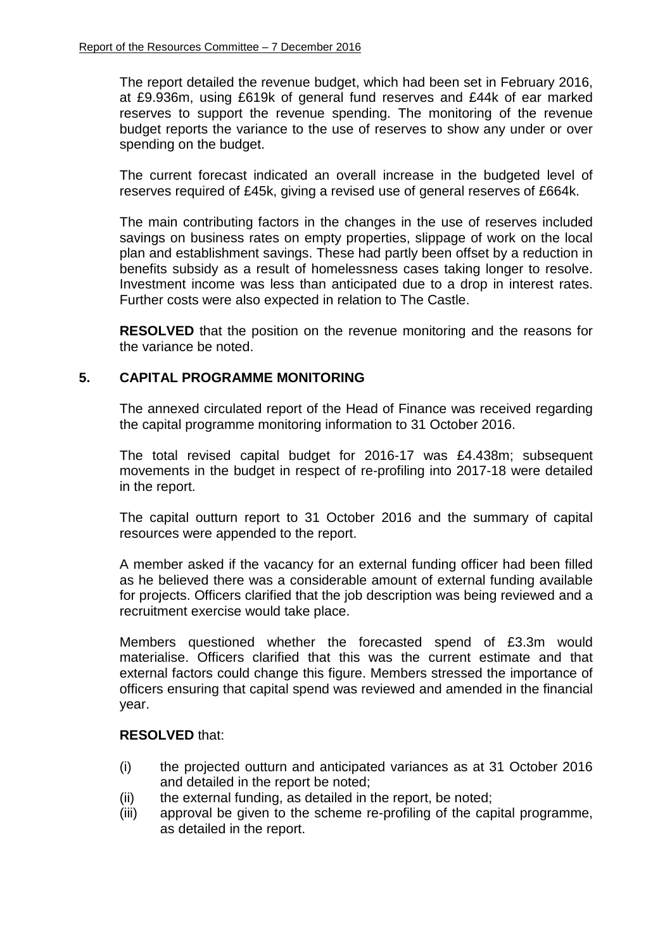The report detailed the revenue budget, which had been set in February 2016, at £9.936m, using £619k of general fund reserves and £44k of ear marked reserves to support the revenue spending. The monitoring of the revenue budget reports the variance to the use of reserves to show any under or over spending on the budget.

The current forecast indicated an overall increase in the budgeted level of reserves required of £45k, giving a revised use of general reserves of £664k.

The main contributing factors in the changes in the use of reserves included savings on business rates on empty properties, slippage of work on the local plan and establishment savings. These had partly been offset by a reduction in benefits subsidy as a result of homelessness cases taking longer to resolve. Investment income was less than anticipated due to a drop in interest rates. Further costs were also expected in relation to The Castle.

**RESOLVED** that the position on the revenue monitoring and the reasons for the variance be noted.

## **5. CAPITAL PROGRAMME MONITORING**

The annexed circulated report of the Head of Finance was received regarding the capital programme monitoring information to 31 October 2016.

The total revised capital budget for 2016-17 was £4.438m; subsequent movements in the budget in respect of re-profiling into 2017-18 were detailed in the report.

The capital outturn report to 31 October 2016 and the summary of capital resources were appended to the report.

A member asked if the vacancy for an external funding officer had been filled as he believed there was a considerable amount of external funding available for projects. Officers clarified that the job description was being reviewed and a recruitment exercise would take place.

Members questioned whether the forecasted spend of £3.3m would materialise. Officers clarified that this was the current estimate and that external factors could change this figure. Members stressed the importance of officers ensuring that capital spend was reviewed and amended in the financial year.

## **RESOLVED** that:

- (i) the projected outturn and anticipated variances as at 31 October 2016 and detailed in the report be noted;
- (ii) the external funding, as detailed in the report, be noted;
- (iii) approval be given to the scheme re-profiling of the capital programme, as detailed in the report.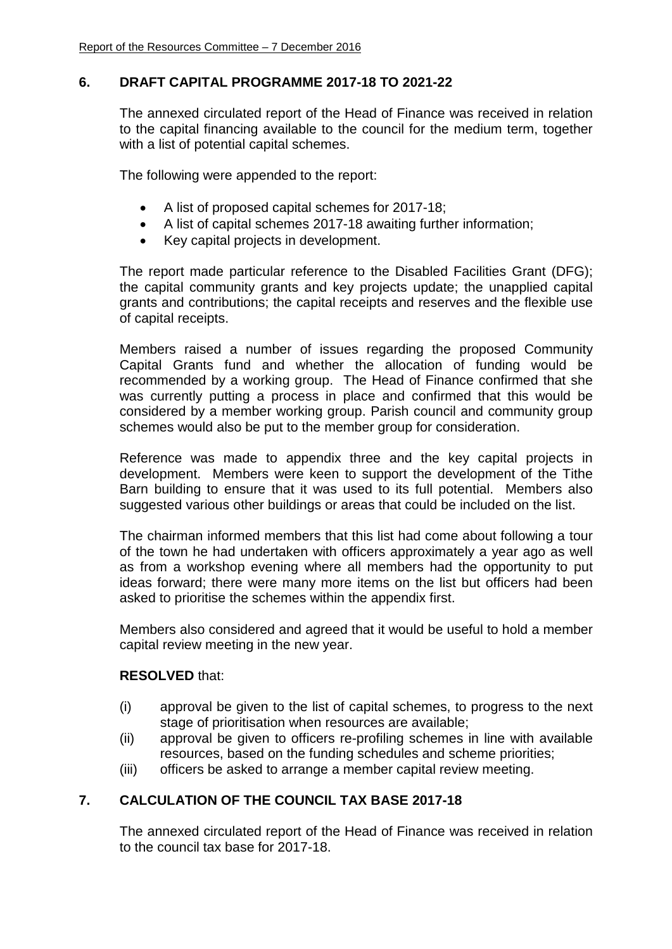# **6. DRAFT CAPITAL PROGRAMME 2017-18 TO 2021-22**

The annexed circulated report of the Head of Finance was received in relation to the capital financing available to the council for the medium term, together with a list of potential capital schemes.

The following were appended to the report:

- A list of proposed capital schemes for 2017-18;
- A list of capital schemes 2017-18 awaiting further information;
- Key capital projects in development.

The report made particular reference to the Disabled Facilities Grant (DFG); the capital community grants and key projects update; the unapplied capital grants and contributions; the capital receipts and reserves and the flexible use of capital receipts.

Members raised a number of issues regarding the proposed Community Capital Grants fund and whether the allocation of funding would be recommended by a working group. The Head of Finance confirmed that she was currently putting a process in place and confirmed that this would be considered by a member working group. Parish council and community group schemes would also be put to the member group for consideration.

Reference was made to appendix three and the key capital projects in development. Members were keen to support the development of the Tithe Barn building to ensure that it was used to its full potential. Members also suggested various other buildings or areas that could be included on the list.

The chairman informed members that this list had come about following a tour of the town he had undertaken with officers approximately a year ago as well as from a workshop evening where all members had the opportunity to put ideas forward; there were many more items on the list but officers had been asked to prioritise the schemes within the appendix first.

Members also considered and agreed that it would be useful to hold a member capital review meeting in the new year.

### **RESOLVED** that:

- (i) approval be given to the list of capital schemes, to progress to the next stage of prioritisation when resources are available;
- (ii) approval be given to officers re-profiling schemes in line with available resources, based on the funding schedules and scheme priorities;
- (iii) officers be asked to arrange a member capital review meeting.

# **7. CALCULATION OF THE COUNCIL TAX BASE 2017-18**

The annexed circulated report of the Head of Finance was received in relation to the council tax base for 2017-18.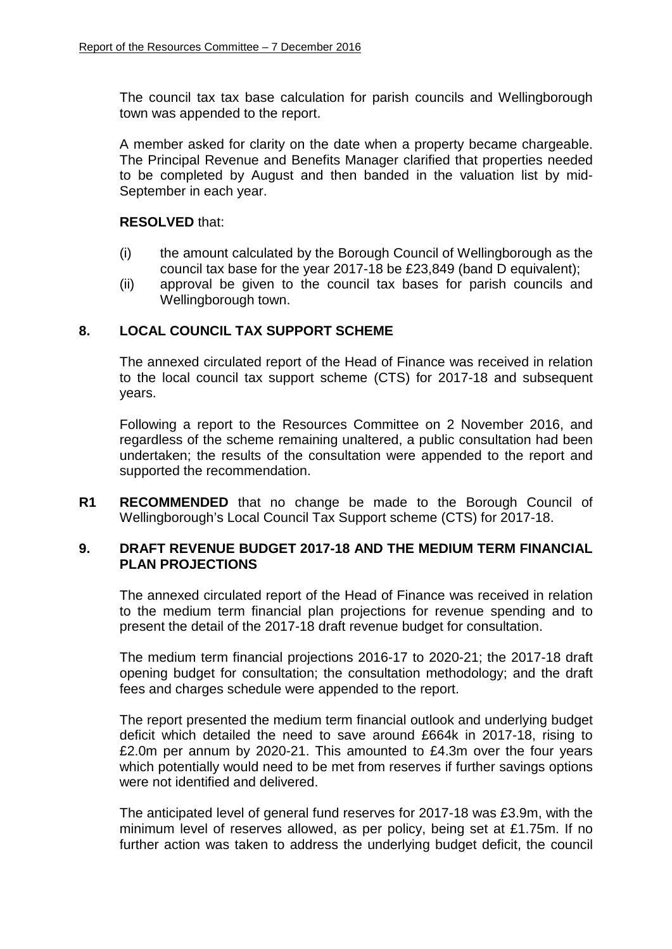The council tax tax base calculation for parish councils and Wellingborough town was appended to the report.

A member asked for clarity on the date when a property became chargeable. The Principal Revenue and Benefits Manager clarified that properties needed to be completed by August and then banded in the valuation list by mid-September in each year.

#### **RESOLVED** that:

- (i) the amount calculated by the Borough Council of Wellingborough as the council tax base for the year 2017-18 be £23,849 (band D equivalent);
- (ii) approval be given to the council tax bases for parish councils and Wellingborough town.

## **8. LOCAL COUNCIL TAX SUPPORT SCHEME**

The annexed circulated report of the Head of Finance was received in relation to the local council tax support scheme (CTS) for 2017-18 and subsequent years.

Following a report to the Resources Committee on 2 November 2016, and regardless of the scheme remaining unaltered, a public consultation had been undertaken; the results of the consultation were appended to the report and supported the recommendation.

**R1 RECOMMENDED** that no change be made to the Borough Council of Wellingborough's Local Council Tax Support scheme (CTS) for 2017-18.

#### **9. DRAFT REVENUE BUDGET 2017-18 AND THE MEDIUM TERM FINANCIAL PLAN PROJECTIONS**

The annexed circulated report of the Head of Finance was received in relation to the medium term financial plan projections for revenue spending and to present the detail of the 2017-18 draft revenue budget for consultation.

The medium term financial projections 2016-17 to 2020-21; the 2017-18 draft opening budget for consultation; the consultation methodology; and the draft fees and charges schedule were appended to the report.

The report presented the medium term financial outlook and underlying budget deficit which detailed the need to save around £664k in 2017-18, rising to £2.0m per annum by 2020-21. This amounted to £4.3m over the four years which potentially would need to be met from reserves if further savings options were not identified and delivered.

The anticipated level of general fund reserves for 2017-18 was £3.9m, with the minimum level of reserves allowed, as per policy, being set at £1.75m. If no further action was taken to address the underlying budget deficit, the council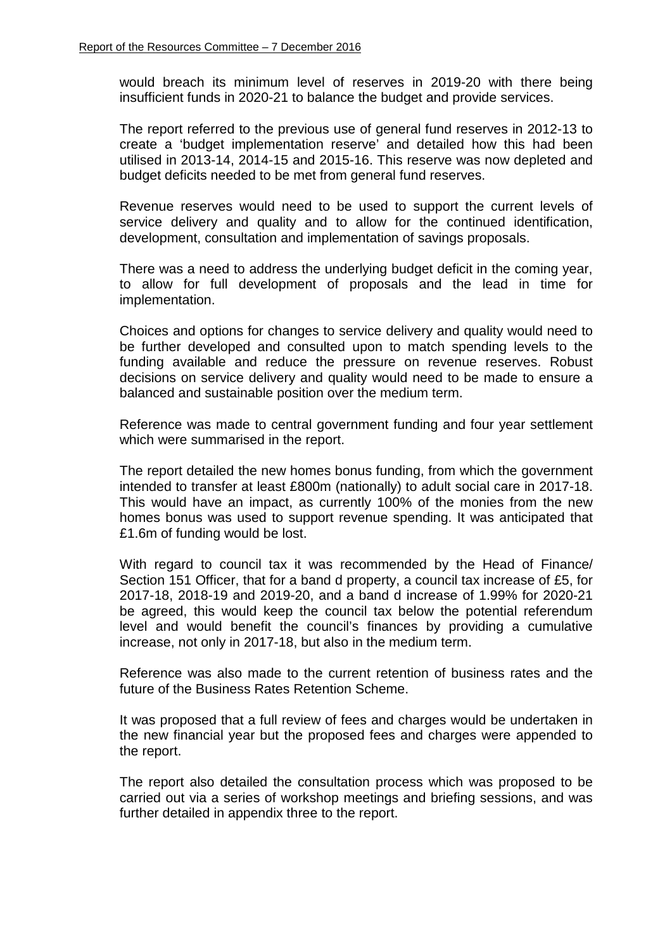would breach its minimum level of reserves in 2019-20 with there being insufficient funds in 2020-21 to balance the budget and provide services.

The report referred to the previous use of general fund reserves in 2012-13 to create a 'budget implementation reserve' and detailed how this had been utilised in 2013-14, 2014-15 and 2015-16. This reserve was now depleted and budget deficits needed to be met from general fund reserves.

Revenue reserves would need to be used to support the current levels of service delivery and quality and to allow for the continued identification, development, consultation and implementation of savings proposals.

There was a need to address the underlying budget deficit in the coming year, to allow for full development of proposals and the lead in time for implementation.

Choices and options for changes to service delivery and quality would need to be further developed and consulted upon to match spending levels to the funding available and reduce the pressure on revenue reserves. Robust decisions on service delivery and quality would need to be made to ensure a balanced and sustainable position over the medium term.

Reference was made to central government funding and four year settlement which were summarised in the report.

The report detailed the new homes bonus funding, from which the government intended to transfer at least £800m (nationally) to adult social care in 2017-18. This would have an impact, as currently 100% of the monies from the new homes bonus was used to support revenue spending. It was anticipated that £1.6m of funding would be lost.

With regard to council tax it was recommended by the Head of Finance/ Section 151 Officer, that for a band d property, a council tax increase of £5, for 2017-18, 2018-19 and 2019-20, and a band d increase of 1.99% for 2020-21 be agreed, this would keep the council tax below the potential referendum level and would benefit the council's finances by providing a cumulative increase, not only in 2017-18, but also in the medium term.

Reference was also made to the current retention of business rates and the future of the Business Rates Retention Scheme.

It was proposed that a full review of fees and charges would be undertaken in the new financial year but the proposed fees and charges were appended to the report.

The report also detailed the consultation process which was proposed to be carried out via a series of workshop meetings and briefing sessions, and was further detailed in appendix three to the report.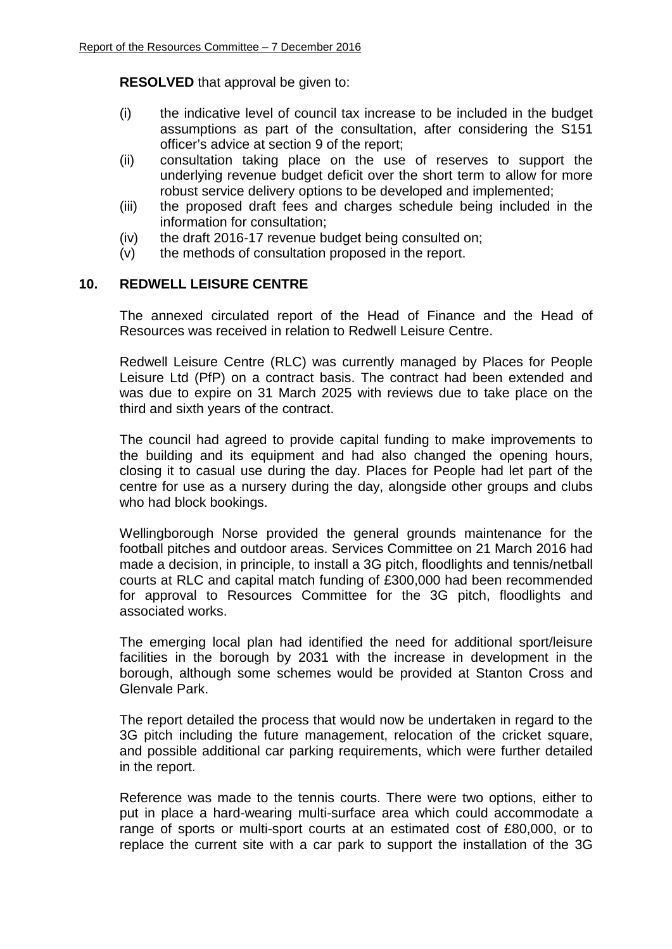**RESOLVED** that approval be given to:

- (i) the indicative level of council tax increase to be included in the budget assumptions as part of the consultation, after considering the S151 officer's advice at section 9 of the report;
- (ii) consultation taking place on the use of reserves to support the underlying revenue budget deficit over the short term to allow for more robust service delivery options to be developed and implemented;
- (iii) the proposed draft fees and charges schedule being included in the information for consultation;
- (iv) the draft 2016-17 revenue budget being consulted on;
- (v) the methods of consultation proposed in the report.

# **10. REDWELL LEISURE CENTRE**

The annexed circulated report of the Head of Finance and the Head of Resources was received in relation to Redwell Leisure Centre.

Redwell Leisure Centre (RLC) was currently managed by Places for People Leisure Ltd (PfP) on a contract basis. The contract had been extended and was due to expire on 31 March 2025 with reviews due to take place on the third and sixth years of the contract.

The council had agreed to provide capital funding to make improvements to the building and its equipment and had also changed the opening hours, closing it to casual use during the day. Places for People had let part of the centre for use as a nursery during the day, alongside other groups and clubs who had block bookings.

Wellingborough Norse provided the general grounds maintenance for the football pitches and outdoor areas. Services Committee on 21 March 2016 had made a decision, in principle, to install a 3G pitch, floodlights and tennis/netball courts at RLC and capital match funding of £300,000 had been recommended for approval to Resources Committee for the 3G pitch, floodlights and associated works.

The emerging local plan had identified the need for additional sport/leisure facilities in the borough by 2031 with the increase in development in the borough, although some schemes would be provided at Stanton Cross and Glenvale Park.

The report detailed the process that would now be undertaken in regard to the 3G pitch including the future management, relocation of the cricket square, and possible additional car parking requirements, which were further detailed in the report.

Reference was made to the tennis courts. There were two options, either to put in place a hard-wearing multi-surface area which could accommodate a range of sports or multi-sport courts at an estimated cost of £80,000, or to replace the current site with a car park to support the installation of the 3G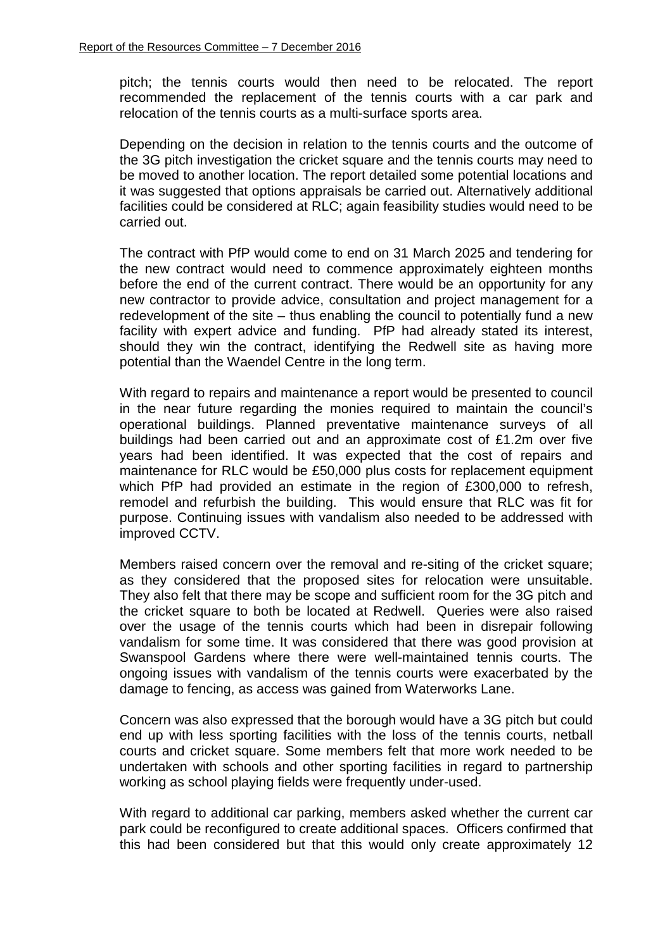pitch; the tennis courts would then need to be relocated. The report recommended the replacement of the tennis courts with a car park and relocation of the tennis courts as a multi-surface sports area.

Depending on the decision in relation to the tennis courts and the outcome of the 3G pitch investigation the cricket square and the tennis courts may need to be moved to another location. The report detailed some potential locations and it was suggested that options appraisals be carried out. Alternatively additional facilities could be considered at RLC; again feasibility studies would need to be carried out.

The contract with PfP would come to end on 31 March 2025 and tendering for the new contract would need to commence approximately eighteen months before the end of the current contract. There would be an opportunity for any new contractor to provide advice, consultation and project management for a redevelopment of the site – thus enabling the council to potentially fund a new facility with expert advice and funding. PfP had already stated its interest, should they win the contract, identifying the Redwell site as having more potential than the Waendel Centre in the long term.

With regard to repairs and maintenance a report would be presented to council in the near future regarding the monies required to maintain the council's operational buildings. Planned preventative maintenance surveys of all buildings had been carried out and an approximate cost of £1.2m over five years had been identified. It was expected that the cost of repairs and maintenance for RLC would be £50,000 plus costs for replacement equipment which PfP had provided an estimate in the region of £300,000 to refresh, remodel and refurbish the building. This would ensure that RLC was fit for purpose. Continuing issues with vandalism also needed to be addressed with improved CCTV.

Members raised concern over the removal and re-siting of the cricket square; as they considered that the proposed sites for relocation were unsuitable. They also felt that there may be scope and sufficient room for the 3G pitch and the cricket square to both be located at Redwell. Queries were also raised over the usage of the tennis courts which had been in disrepair following vandalism for some time. It was considered that there was good provision at Swanspool Gardens where there were well-maintained tennis courts. The ongoing issues with vandalism of the tennis courts were exacerbated by the damage to fencing, as access was gained from Waterworks Lane.

Concern was also expressed that the borough would have a 3G pitch but could end up with less sporting facilities with the loss of the tennis courts, netball courts and cricket square. Some members felt that more work needed to be undertaken with schools and other sporting facilities in regard to partnership working as school playing fields were frequently under-used.

With regard to additional car parking, members asked whether the current car park could be reconfigured to create additional spaces. Officers confirmed that this had been considered but that this would only create approximately 12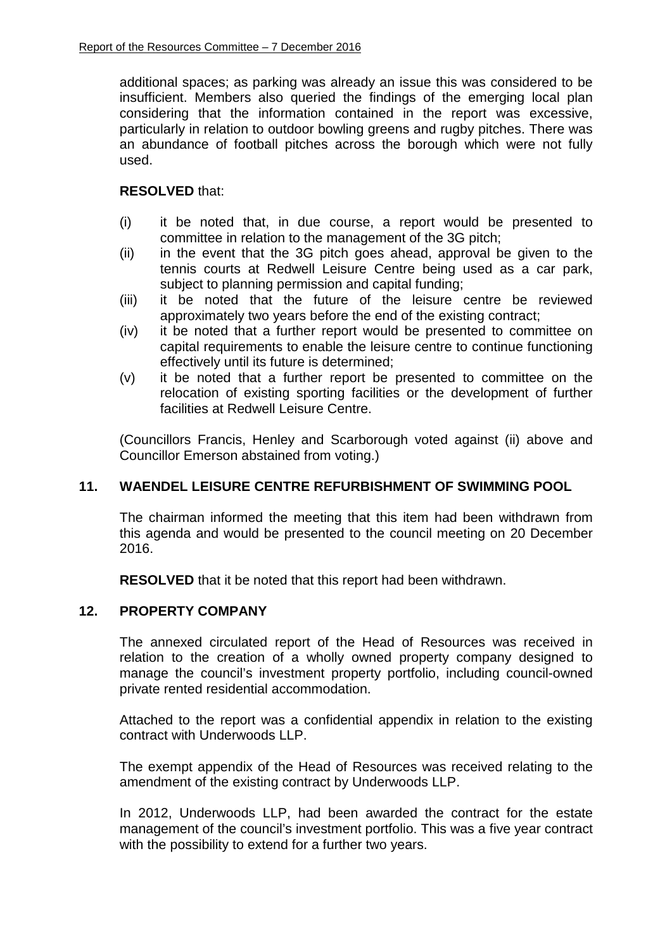additional spaces; as parking was already an issue this was considered to be insufficient. Members also queried the findings of the emerging local plan considering that the information contained in the report was excessive, particularly in relation to outdoor bowling greens and rugby pitches. There was an abundance of football pitches across the borough which were not fully used.

## **RESOLVED** that:

- (i) it be noted that, in due course, a report would be presented to committee in relation to the management of the 3G pitch;
- (ii) in the event that the 3G pitch goes ahead, approval be given to the tennis courts at Redwell Leisure Centre being used as a car park, subject to planning permission and capital funding;
- (iii) it be noted that the future of the leisure centre be reviewed approximately two years before the end of the existing contract;
- (iv) it be noted that a further report would be presented to committee on capital requirements to enable the leisure centre to continue functioning effectively until its future is determined;
- (v) it be noted that a further report be presented to committee on the relocation of existing sporting facilities or the development of further facilities at Redwell Leisure Centre.

(Councillors Francis, Henley and Scarborough voted against (ii) above and Councillor Emerson abstained from voting.)

# **11. WAENDEL LEISURE CENTRE REFURBISHMENT OF SWIMMING POOL**

The chairman informed the meeting that this item had been withdrawn from this agenda and would be presented to the council meeting on 20 December 2016.

**RESOLVED** that it be noted that this report had been withdrawn.

# **12. PROPERTY COMPANY**

The annexed circulated report of the Head of Resources was received in relation to the creation of a wholly owned property company designed to manage the council's investment property portfolio, including council-owned private rented residential accommodation.

Attached to the report was a confidential appendix in relation to the existing contract with Underwoods LLP.

The exempt appendix of the Head of Resources was received relating to the amendment of the existing contract by Underwoods LLP.

In 2012, Underwoods LLP, had been awarded the contract for the estate management of the council's investment portfolio. This was a five year contract with the possibility to extend for a further two years.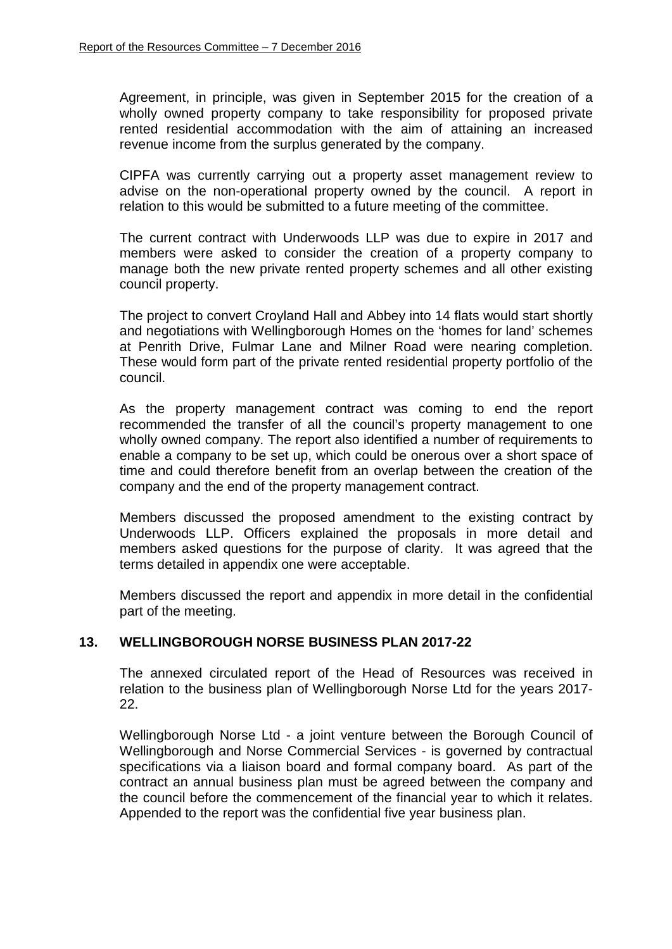Agreement, in principle, was given in September 2015 for the creation of a wholly owned property company to take responsibility for proposed private rented residential accommodation with the aim of attaining an increased revenue income from the surplus generated by the company.

CIPFA was currently carrying out a property asset management review to advise on the non-operational property owned by the council. A report in relation to this would be submitted to a future meeting of the committee.

The current contract with Underwoods LLP was due to expire in 2017 and members were asked to consider the creation of a property company to manage both the new private rented property schemes and all other existing council property.

The project to convert Croyland Hall and Abbey into 14 flats would start shortly and negotiations with Wellingborough Homes on the 'homes for land' schemes at Penrith Drive, Fulmar Lane and Milner Road were nearing completion. These would form part of the private rented residential property portfolio of the council.

As the property management contract was coming to end the report recommended the transfer of all the council's property management to one wholly owned company. The report also identified a number of requirements to enable a company to be set up, which could be onerous over a short space of time and could therefore benefit from an overlap between the creation of the company and the end of the property management contract.

Members discussed the proposed amendment to the existing contract by Underwoods LLP. Officers explained the proposals in more detail and members asked questions for the purpose of clarity. It was agreed that the terms detailed in appendix one were acceptable.

Members discussed the report and appendix in more detail in the confidential part of the meeting.

### **13. WELLINGBOROUGH NORSE BUSINESS PLAN 2017-22**

The annexed circulated report of the Head of Resources was received in relation to the business plan of Wellingborough Norse Ltd for the years 2017- 22.

Wellingborough Norse Ltd - a joint venture between the Borough Council of Wellingborough and Norse Commercial Services - is governed by contractual specifications via a liaison board and formal company board. As part of the contract an annual business plan must be agreed between the company and the council before the commencement of the financial year to which it relates. Appended to the report was the confidential five year business plan.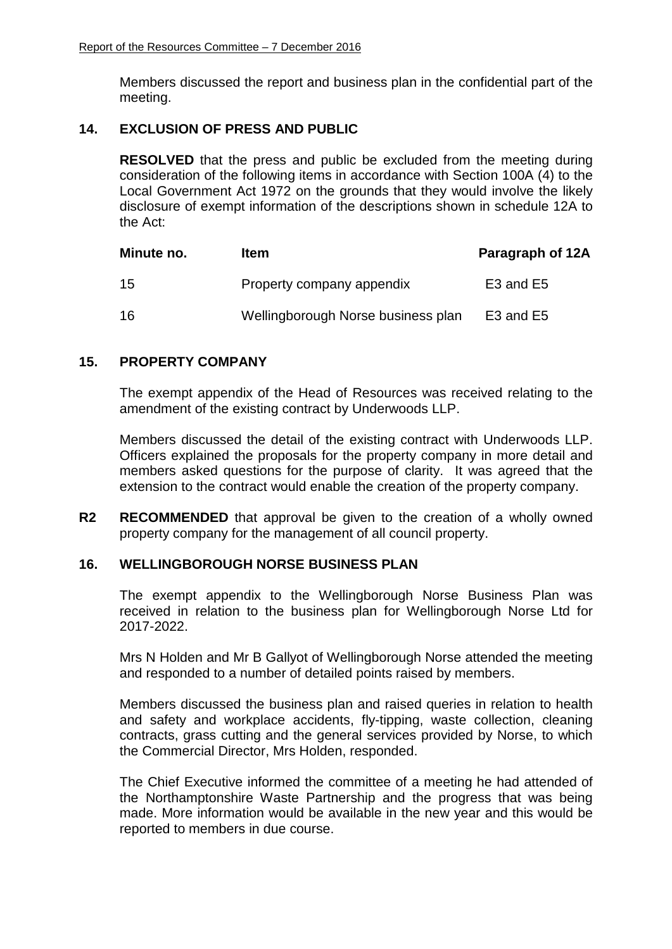Members discussed the report and business plan in the confidential part of the meeting.

## **14. EXCLUSION OF PRESS AND PUBLIC**

**RESOLVED** that the press and public be excluded from the meeting during consideration of the following items in accordance with Section 100A (4) to the Local Government Act 1972 on the grounds that they would involve the likely disclosure of exempt information of the descriptions shown in schedule 12A to the Act:

| Minute no. | Item                               | Paragraph of 12A                  |
|------------|------------------------------------|-----------------------------------|
| 15         | Property company appendix          | E <sub>3</sub> and E <sub>5</sub> |
| 16         | Wellingborough Norse business plan | E3 and E5                         |

## **15. PROPERTY COMPANY**

The exempt appendix of the Head of Resources was received relating to the amendment of the existing contract by Underwoods LLP.

Members discussed the detail of the existing contract with Underwoods LLP. Officers explained the proposals for the property company in more detail and members asked questions for the purpose of clarity. It was agreed that the extension to the contract would enable the creation of the property company.

**R2 RECOMMENDED** that approval be given to the creation of a wholly owned property company for the management of all council property.

### **16. WELLINGBOROUGH NORSE BUSINESS PLAN**

The exempt appendix to the Wellingborough Norse Business Plan was received in relation to the business plan for Wellingborough Norse Ltd for 2017-2022.

Mrs N Holden and Mr B Gallyot of Wellingborough Norse attended the meeting and responded to a number of detailed points raised by members.

Members discussed the business plan and raised queries in relation to health and safety and workplace accidents, fly-tipping, waste collection, cleaning contracts, grass cutting and the general services provided by Norse, to which the Commercial Director, Mrs Holden, responded.

The Chief Executive informed the committee of a meeting he had attended of the Northamptonshire Waste Partnership and the progress that was being made. More information would be available in the new year and this would be reported to members in due course.